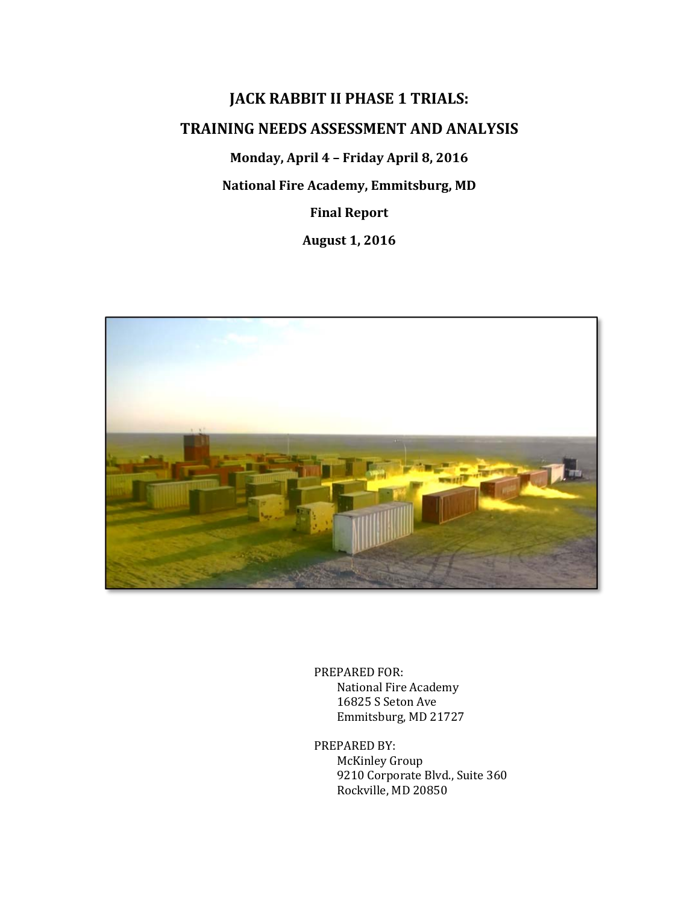**JACK RABBIT II PHASE 1 TRIALS: TRAINING NEEDS ASSESSMENT AND ANALYSIS**

> **Monday, April 4 – Friday April 8, 2016 National Fire Academy, Emmitsburg, MD**

> > **Final Report**

**August 1, 2016**



PREPARED FOR: National Fire Academy 16825 S Seton Ave Emmitsburg, MD 21727

PREPARED BY: McKinley Group 9210 Corporate Blvd., Suite 360 Rockville, MD 20850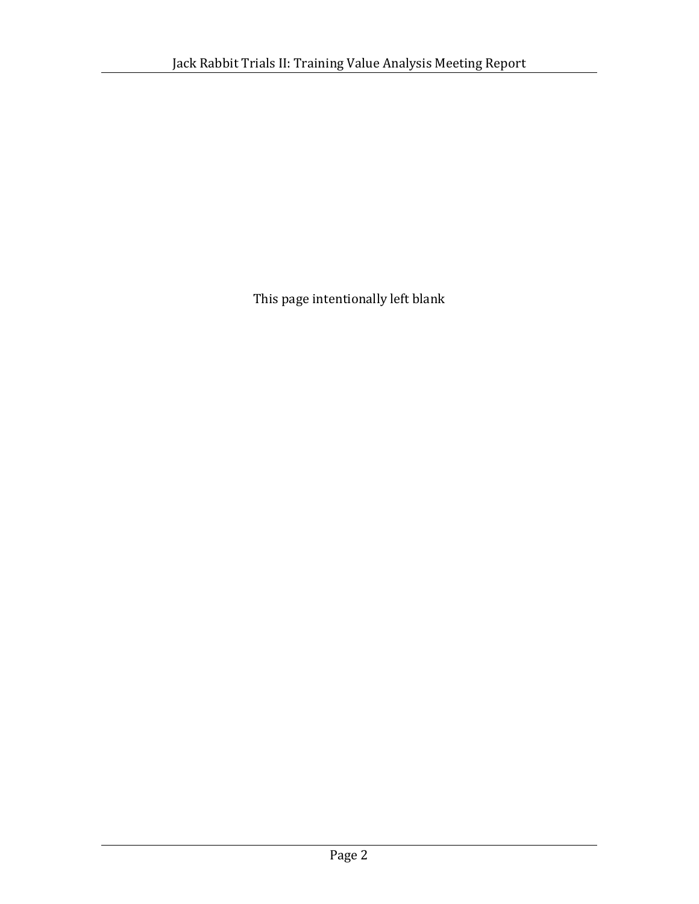This page intentionally left blank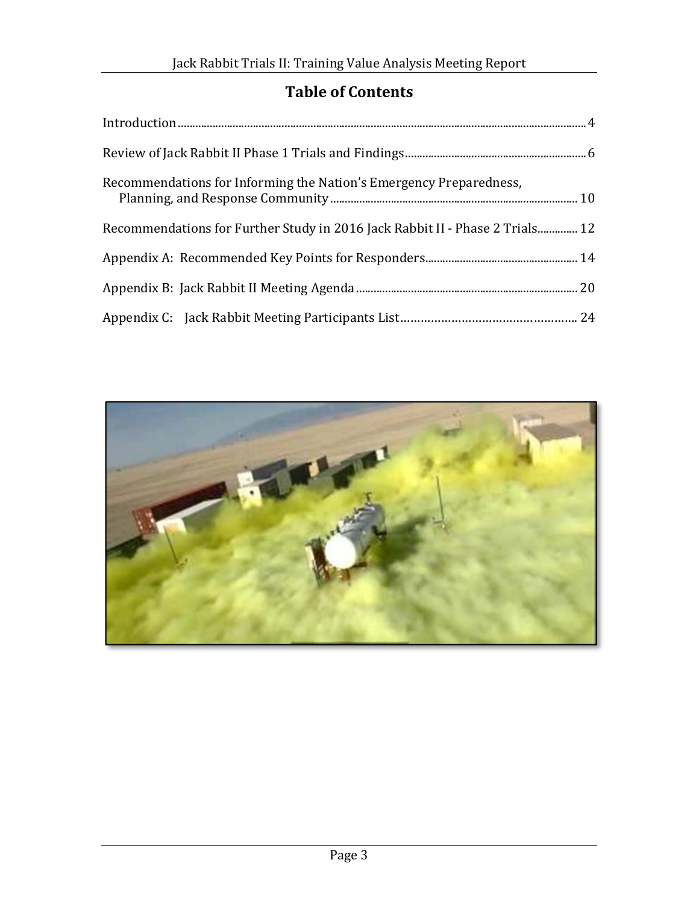# **Table of Contents**

| Recommendations for Informing the Nation's Emergency Preparedness,           |
|------------------------------------------------------------------------------|
| Recommendations for Further Study in 2016 Jack Rabbit II - Phase 2 Trials 12 |
|                                                                              |
|                                                                              |
|                                                                              |

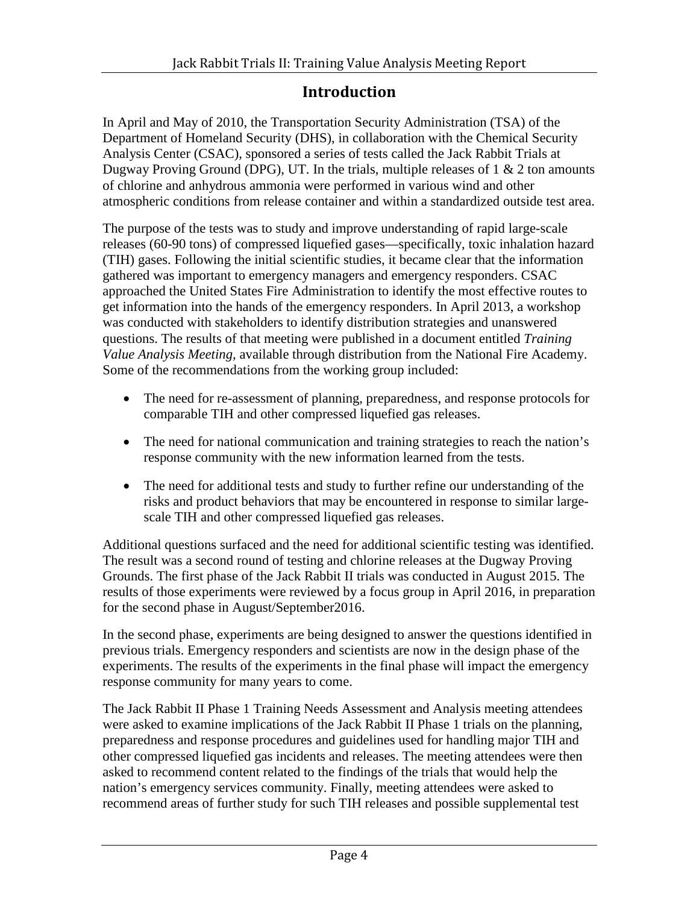# **Introduction**

In April and May of 2010, the Transportation Security Administration (TSA) of the Department of Homeland Security (DHS), in collaboration with the Chemical Security Analysis Center (CSAC), sponsored a series of tests called the Jack Rabbit Trials at Dugway Proving Ground (DPG), UT. In the trials, multiple releases of  $1 \& 2$  ton amounts of chlorine and anhydrous ammonia were performed in various wind and other atmospheric conditions from release container and within a standardized outside test area.

The purpose of the tests was to study and improve understanding of rapid large-scale releases (60-90 tons) of compressed liquefied gases—specifically, toxic inhalation hazard (TIH) gases. Following the initial scientific studies, it became clear that the information gathered was important to emergency managers and emergency responders. CSAC approached the United States Fire Administration to identify the most effective routes to get information into the hands of the emergency responders. In April 2013, a workshop was conducted with stakeholders to identify distribution strategies and unanswered questions. The results of that meeting were published in a document entitled *Training Value Analysis Meeting,* available through distribution from the National Fire Academy. Some of the recommendations from the working group included:

- The need for re-assessment of planning, preparedness, and response protocols for comparable TIH and other compressed liquefied gas releases.
- The need for national communication and training strategies to reach the nation's response community with the new information learned from the tests.
- The need for additional tests and study to further refine our understanding of the risks and product behaviors that may be encountered in response to similar largescale TIH and other compressed liquefied gas releases.

Additional questions surfaced and the need for additional scientific testing was identified. The result was a second round of testing and chlorine releases at the Dugway Proving Grounds. The first phase of the Jack Rabbit II trials was conducted in August 2015. The results of those experiments were reviewed by a focus group in April 2016, in preparation for the second phase in August/September2016.

In the second phase, experiments are being designed to answer the questions identified in previous trials. Emergency responders and scientists are now in the design phase of the experiments. The results of the experiments in the final phase will impact the emergency response community for many years to come.

The Jack Rabbit II Phase 1 Training Needs Assessment and Analysis meeting attendees were asked to examine implications of the Jack Rabbit II Phase 1 trials on the planning, preparedness and response procedures and guidelines used for handling major TIH and other compressed liquefied gas incidents and releases. The meeting attendees were then asked to recommend content related to the findings of the trials that would help the nation's emergency services community. Finally, meeting attendees were asked to recommend areas of further study for such TIH releases and possible supplemental test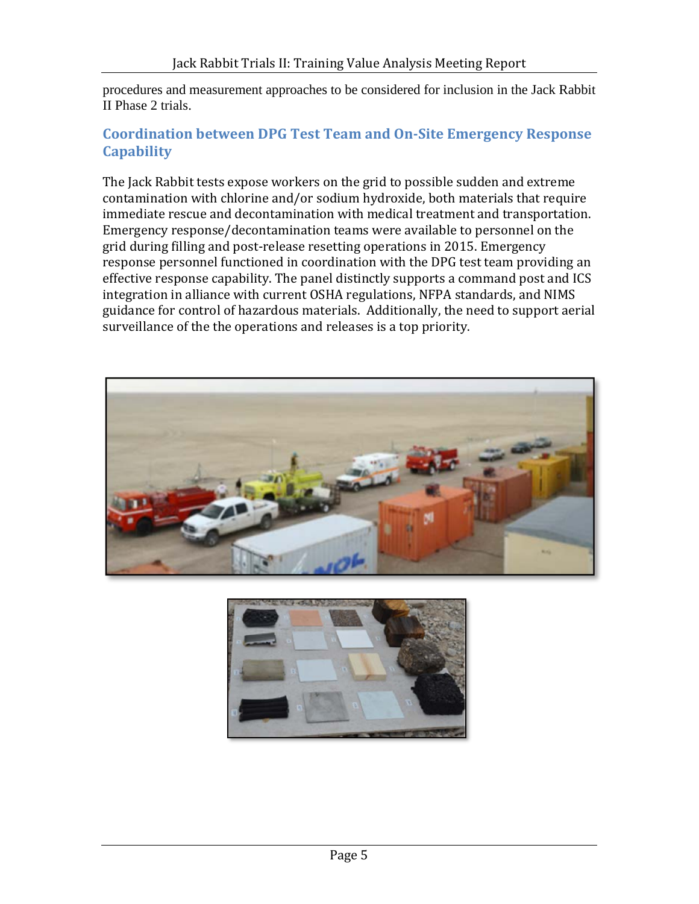procedures and measurement approaches to be considered for inclusion in the Jack Rabbit II Phase 2 trials.

### **Coordination between DPG Test Team and On-Site Emergency Response Capability**

The Jack Rabbit tests expose workers on the grid to possible sudden and extreme contamination with chlorine and/or sodium hydroxide, both materials that require immediate rescue and decontamination with medical treatment and transportation. Emergency response/decontamination teams were available to personnel on the grid during filling and post-release resetting operations in 2015. Emergency response personnel functioned in coordination with the DPG test team providing an effective response capability. The panel distinctly supports a command post and ICS integration in alliance with current OSHA regulations, NFPA standards, and NIMS guidance for control of hazardous materials. Additionally, the need to support aerial surveillance of the the operations and releases is a top priority.



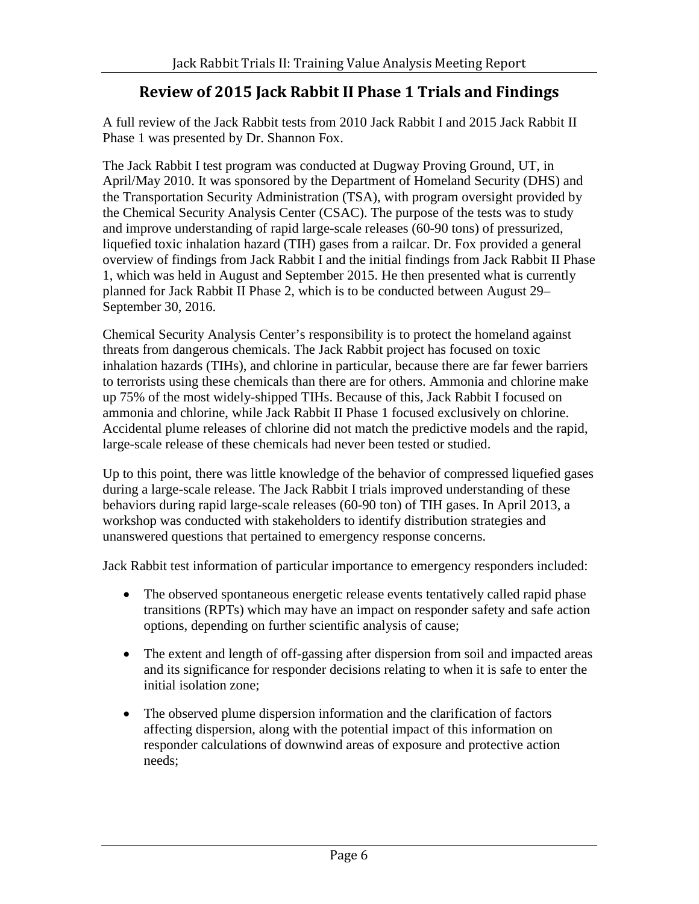# **Review of 2015 Jack Rabbit II Phase 1 Trials and Findings**

A full review of the Jack Rabbit tests from 2010 Jack Rabbit I and 2015 Jack Rabbit II Phase 1 was presented by Dr. Shannon Fox.

The Jack Rabbit I test program was conducted at Dugway Proving Ground, UT, in April/May 2010. It was sponsored by the Department of Homeland Security (DHS) and the Transportation Security Administration (TSA), with program oversight provided by the Chemical Security Analysis Center (CSAC). The purpose of the tests was to study and improve understanding of rapid large-scale releases (60-90 tons) of pressurized, liquefied toxic inhalation hazard (TIH) gases from a railcar. Dr. Fox provided a general overview of findings from Jack Rabbit I and the initial findings from Jack Rabbit II Phase 1, which was held in August and September 2015. He then presented what is currently planned for Jack Rabbit II Phase 2, which is to be conducted between August 29– September 30, 2016.

Chemical Security Analysis Center's responsibility is to protect the homeland against threats from dangerous chemicals. The Jack Rabbit project has focused on toxic inhalation hazards (TIHs), and chlorine in particular, because there are far fewer barriers to terrorists using these chemicals than there are for others. Ammonia and chlorine make up 75% of the most widely-shipped TIHs. Because of this, Jack Rabbit I focused on ammonia and chlorine, while Jack Rabbit II Phase 1 focused exclusively on chlorine. Accidental plume releases of chlorine did not match the predictive models and the rapid, large-scale release of these chemicals had never been tested or studied.

Up to this point, there was little knowledge of the behavior of compressed liquefied gases during a large-scale release. The Jack Rabbit I trials improved understanding of these behaviors during rapid large-scale releases (60-90 ton) of TIH gases. In April 2013, a workshop was conducted with stakeholders to identify distribution strategies and unanswered questions that pertained to emergency response concerns.

Jack Rabbit test information of particular importance to emergency responders included:

- The observed spontaneous energetic release events tentatively called rapid phase transitions (RPTs) which may have an impact on responder safety and safe action options, depending on further scientific analysis of cause;
- The extent and length of off-gassing after dispersion from soil and impacted areas and its significance for responder decisions relating to when it is safe to enter the initial isolation zone;
- The observed plume dispersion information and the clarification of factors affecting dispersion, along with the potential impact of this information on responder calculations of downwind areas of exposure and protective action needs;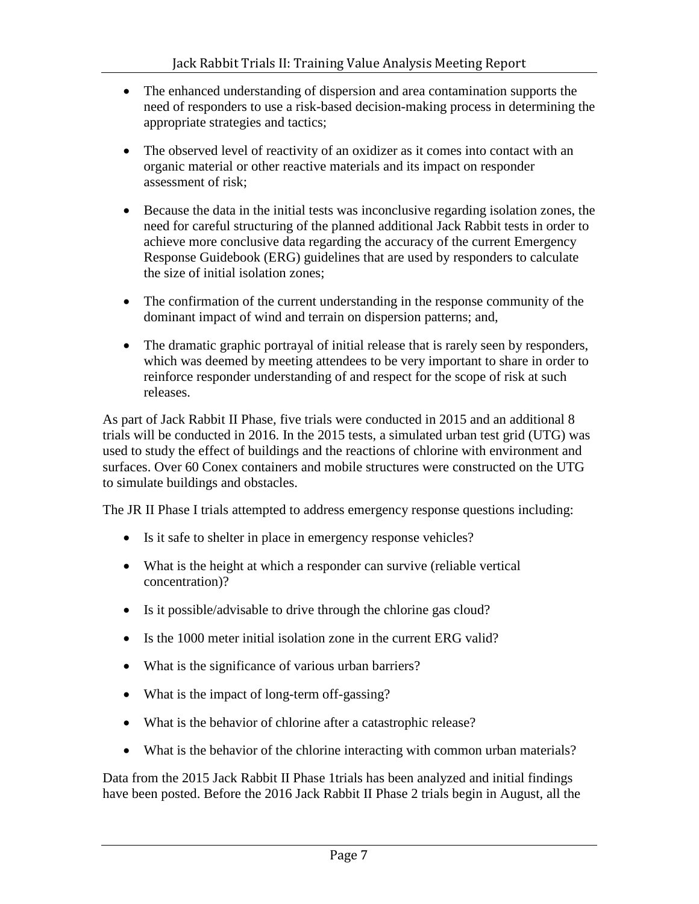- The enhanced understanding of dispersion and area contamination supports the need of responders to use a risk-based decision-making process in determining the appropriate strategies and tactics;
- The observed level of reactivity of an oxidizer as it comes into contact with an organic material or other reactive materials and its impact on responder assessment of risk;
- Because the data in the initial tests was inconclusive regarding isolation zones, the need for careful structuring of the planned additional Jack Rabbit tests in order to achieve more conclusive data regarding the accuracy of the current Emergency Response Guidebook (ERG) guidelines that are used by responders to calculate the size of initial isolation zones;
- The confirmation of the current understanding in the response community of the dominant impact of wind and terrain on dispersion patterns; and,
- The dramatic graphic portrayal of initial release that is rarely seen by responders, which was deemed by meeting attendees to be very important to share in order to reinforce responder understanding of and respect for the scope of risk at such releases.

As part of Jack Rabbit II Phase, five trials were conducted in 2015 and an additional 8 trials will be conducted in 2016. In the 2015 tests, a simulated urban test grid (UTG) was used to study the effect of buildings and the reactions of chlorine with environment and surfaces. Over 60 Conex containers and mobile structures were constructed on the UTG to simulate buildings and obstacles.

The JR II Phase I trials attempted to address emergency response questions including:

- Is it safe to shelter in place in emergency response vehicles?
- What is the height at which a responder can survive (reliable vertical concentration)?
- Is it possible/advisable to drive through the chlorine gas cloud?
- Is the 1000 meter initial isolation zone in the current ERG valid?
- What is the significance of various urban barriers?
- What is the impact of long-term of f-gassing?
- What is the behavior of chlorine after a catastrophic release?
- What is the behavior of the chlorine interacting with common urban materials?

Data from the 2015 Jack Rabbit II Phase 1trials has been analyzed and initial findings have been posted. Before the 2016 Jack Rabbit II Phase 2 trials begin in August, all the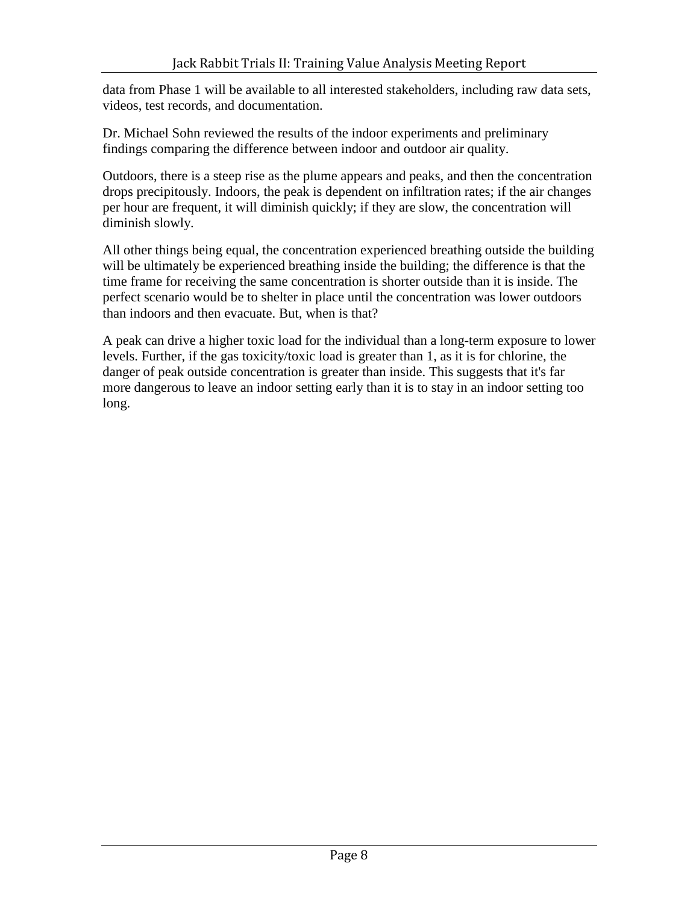data from Phase 1 will be available to all interested stakeholders, including raw data sets, videos, test records, and documentation.

Dr. Michael Sohn reviewed the results of the indoor experiments and preliminary findings comparing the difference between indoor and outdoor air quality.

Outdoors, there is a steep rise as the plume appears and peaks, and then the concentration drops precipitously. Indoors, the peak is dependent on infiltration rates; if the air changes per hour are frequent, it will diminish quickly; if they are slow, the concentration will diminish slowly.

All other things being equal, the concentration experienced breathing outside the building will be ultimately be experienced breathing inside the building; the difference is that the time frame for receiving the same concentration is shorter outside than it is inside. The perfect scenario would be to shelter in place until the concentration was lower outdoors than indoors and then evacuate. But, when is that?

A peak can drive a higher toxic load for the individual than a long-term exposure to lower levels. Further, if the gas toxicity/toxic load is greater than 1, as it is for chlorine, the danger of peak outside concentration is greater than inside. This suggests that it's far more dangerous to leave an indoor setting early than it is to stay in an indoor setting too long.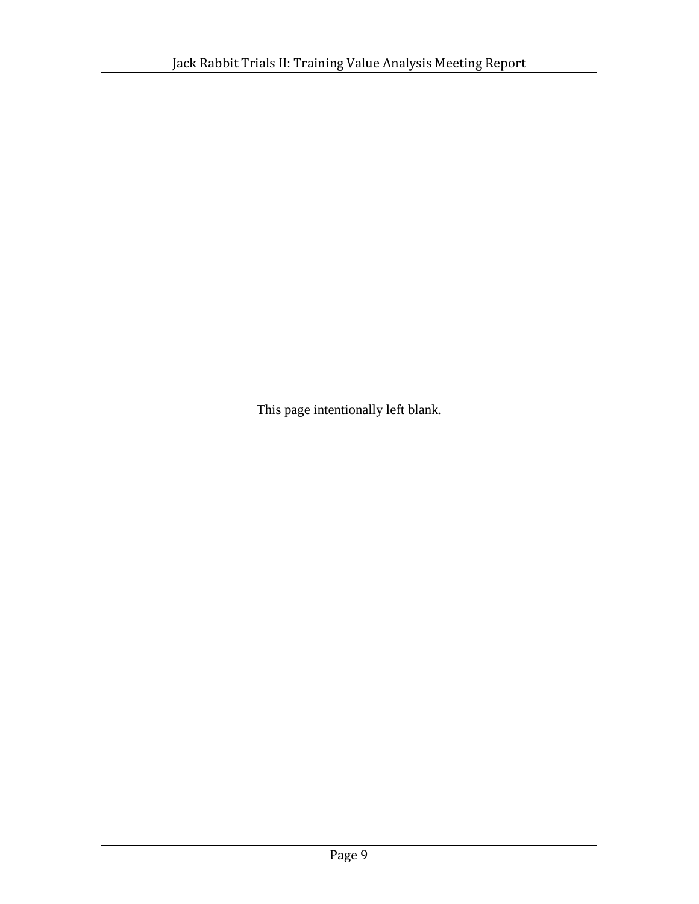This page intentionally left blank.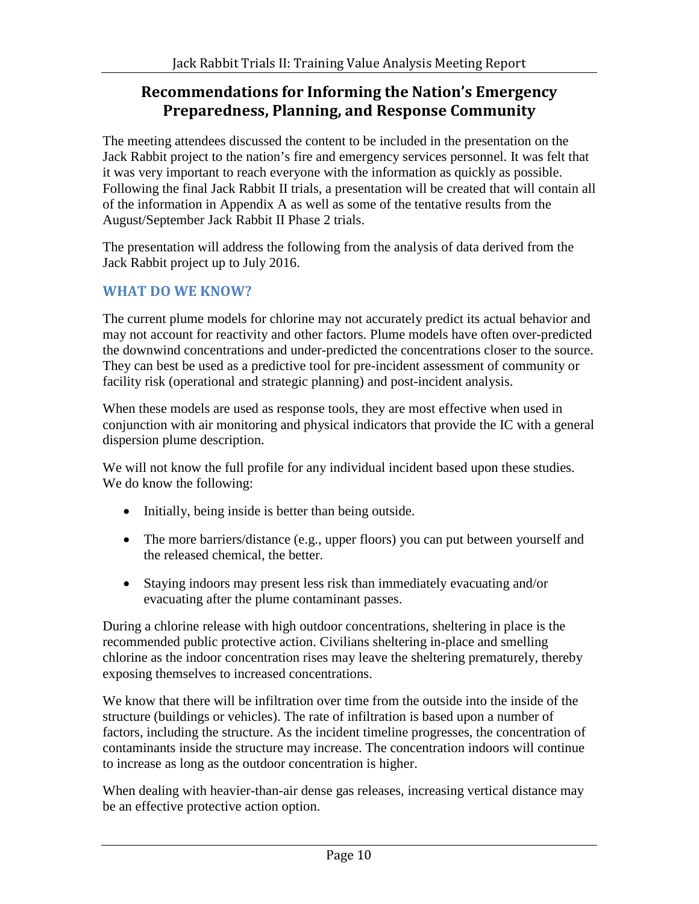# **Recommendations for Informing the Nation's Emergency Preparedness, Planning, and Response Community**

The meeting attendees discussed the content to be included in the presentation on the Jack Rabbit project to the nation's fire and emergency services personnel. It was felt that it was very important to reach everyone with the information as quickly as possible. Following the final Jack Rabbit II trials, a presentation will be created that will contain all of the information in Appendix A as well as some of the tentative results from the August/September Jack Rabbit II Phase 2 trials.

The presentation will address the following from the analysis of data derived from the Jack Rabbit project up to July 2016.

### **WHAT DO WE KNOW?**

The current plume models for chlorine may not accurately predict its actual behavior and may not account for reactivity and other factors. Plume models have often over-predicted the downwind concentrations and under-predicted the concentrations closer to the source. They can best be used as a predictive tool for pre-incident assessment of community or facility risk (operational and strategic planning) and post-incident analysis.

When these models are used as response tools, they are most effective when used in conjunction with air monitoring and physical indicators that provide the IC with a general dispersion plume description.

We will not know the full profile for any individual incident based upon these studies. We do know the following:

- Initially, being inside is better than being outside.
- The more barriers/distance (e.g., upper floors) you can put between yourself and the released chemical, the better.
- Staying indoors may present less risk than immediately evacuating and/or evacuating after the plume contaminant passes.

During a chlorine release with high outdoor concentrations, sheltering in place is the recommended public protective action. Civilians sheltering in-place and smelling chlorine as the indoor concentration rises may leave the sheltering prematurely, thereby exposing themselves to increased concentrations.

We know that there will be infiltration over time from the outside into the inside of the structure (buildings or vehicles). The rate of infiltration is based upon a number of factors, including the structure. As the incident timeline progresses, the concentration of contaminants inside the structure may increase. The concentration indoors will continue to increase as long as the outdoor concentration is higher.

When dealing with heavier-than-air dense gas releases, increasing vertical distance may be an effective protective action option.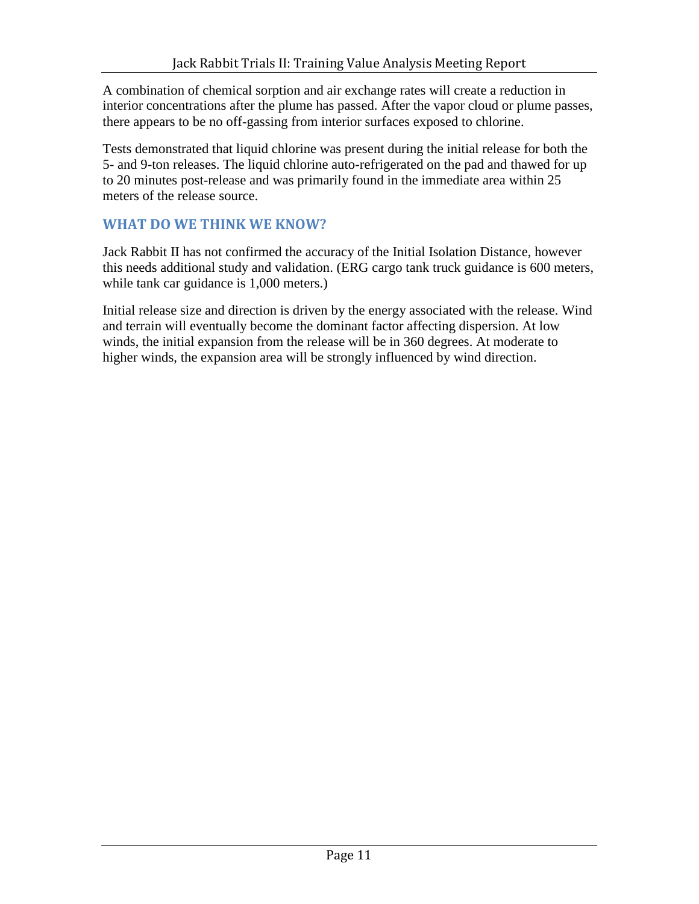A combination of chemical sorption and air exchange rates will create a reduction in interior concentrations after the plume has passed. After the vapor cloud or plume passes, there appears to be no off-gassing from interior surfaces exposed to chlorine.

Tests demonstrated that liquid chlorine was present during the initial release for both the 5- and 9-ton releases. The liquid chlorine auto-refrigerated on the pad and thawed for up to 20 minutes post-release and was primarily found in the immediate area within 25 meters of the release source.

# **WHAT DO WE THINK WE KNOW?**

Jack Rabbit II has not confirmed the accuracy of the Initial Isolation Distance, however this needs additional study and validation. (ERG cargo tank truck guidance is 600 meters, while tank car guidance is 1,000 meters.)

Initial release size and direction is driven by the energy associated with the release. Wind and terrain will eventually become the dominant factor affecting dispersion. At low winds, the initial expansion from the release will be in 360 degrees. At moderate to higher winds, the expansion area will be strongly influenced by wind direction.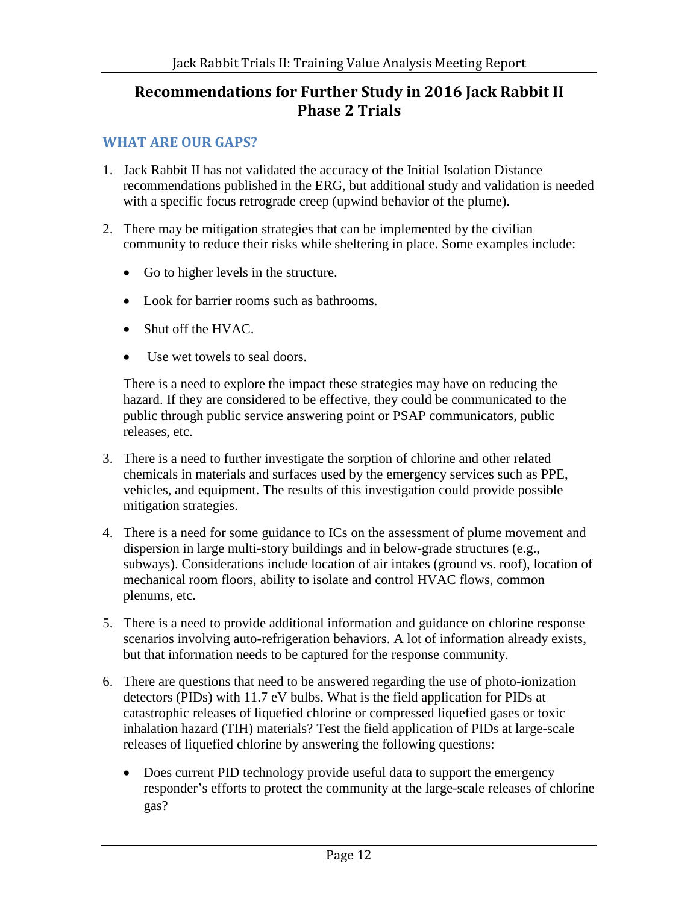# **Recommendations for Further Study in 2016 Jack Rabbit II Phase 2 Trials**

#### **WHAT ARE OUR GAPS?**

- 1. Jack Rabbit II has not validated the accuracy of the Initial Isolation Distance recommendations published in the ERG, but additional study and validation is needed with a specific focus retrograde creep (upwind behavior of the plume).
- 2. There may be mitigation strategies that can be implemented by the civilian community to reduce their risks while sheltering in place. Some examples include:
	- Go to higher levels in the structure.
	- Look for barrier rooms such as bathrooms.
	- Shut off the HVAC.
	- Use wet towels to seal doors.

There is a need to explore the impact these strategies may have on reducing the hazard. If they are considered to be effective, they could be communicated to the public through public service answering point or PSAP communicators, public releases, etc.

- 3. There is a need to further investigate the sorption of chlorine and other related chemicals in materials and surfaces used by the emergency services such as PPE, vehicles, and equipment. The results of this investigation could provide possible mitigation strategies.
- 4. There is a need for some guidance to ICs on the assessment of plume movement and dispersion in large multi-story buildings and in below-grade structures (e.g., subways). Considerations include location of air intakes (ground vs. roof), location of mechanical room floors, ability to isolate and control HVAC flows, common plenums, etc.
- 5. There is a need to provide additional information and guidance on chlorine response scenarios involving auto-refrigeration behaviors. A lot of information already exists, but that information needs to be captured for the response community.
- 6. There are questions that need to be answered regarding the use of photo-ionization detectors (PIDs) with 11.7 eV bulbs. What is the field application for PIDs at catastrophic releases of liquefied chlorine or compressed liquefied gases or toxic inhalation hazard (TIH) materials? Test the field application of PIDs at large-scale releases of liquefied chlorine by answering the following questions:
	- Does current PID technology provide useful data to support the emergency responder's efforts to protect the community at the large-scale releases of chlorine gas?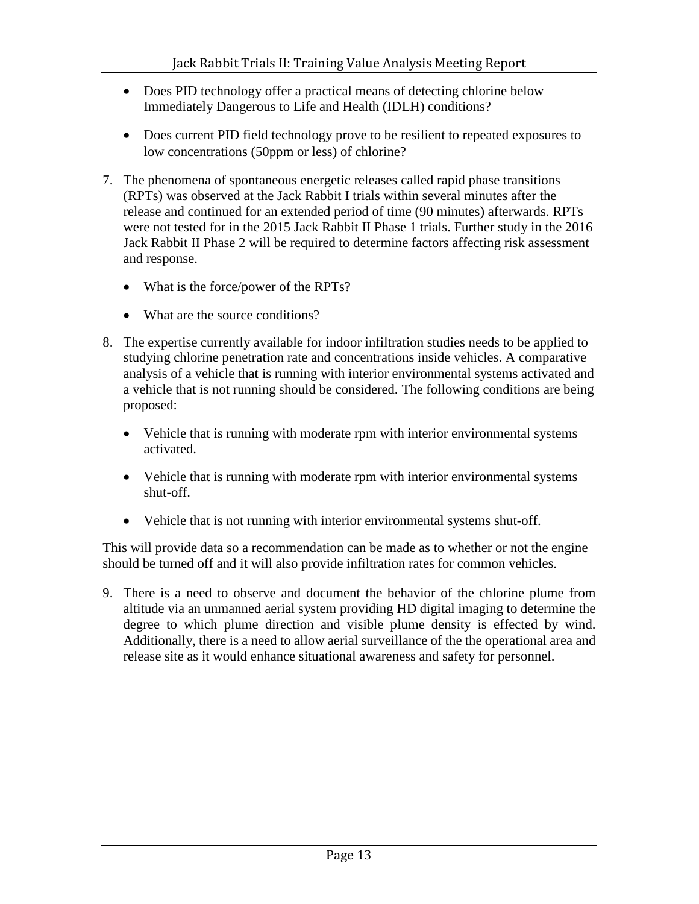- Does PID technology offer a practical means of detecting chlorine below Immediately Dangerous to Life and Health (IDLH) conditions?
- Does current PID field technology prove to be resilient to repeated exposures to low concentrations (50ppm or less) of chlorine?
- 7. The phenomena of spontaneous energetic releases called rapid phase transitions (RPTs) was observed at the Jack Rabbit I trials within several minutes after the release and continued for an extended period of time (90 minutes) afterwards. RPTs were not tested for in the 2015 Jack Rabbit II Phase 1 trials. Further study in the 2016 Jack Rabbit II Phase 2 will be required to determine factors affecting risk assessment and response.
	- What is the force/power of the RPTs?
	- What are the source conditions?
- 8. The expertise currently available for indoor infiltration studies needs to be applied to studying chlorine penetration rate and concentrations inside vehicles. A comparative analysis of a vehicle that is running with interior environmental systems activated and a vehicle that is not running should be considered. The following conditions are being proposed:
	- Vehicle that is running with moderate rpm with interior environmental systems activated.
	- Vehicle that is running with moderate rpm with interior environmental systems shut-off.
	- Vehicle that is not running with interior environmental systems shut-off.

This will provide data so a recommendation can be made as to whether or not the engine should be turned off and it will also provide infiltration rates for common vehicles.

9. There is a need to observe and document the behavior of the chlorine plume from altitude via an unmanned aerial system providing HD digital imaging to determine the degree to which plume direction and visible plume density is effected by wind. Additionally, there is a need to allow aerial surveillance of the the operational area and release site as it would enhance situational awareness and safety for personnel.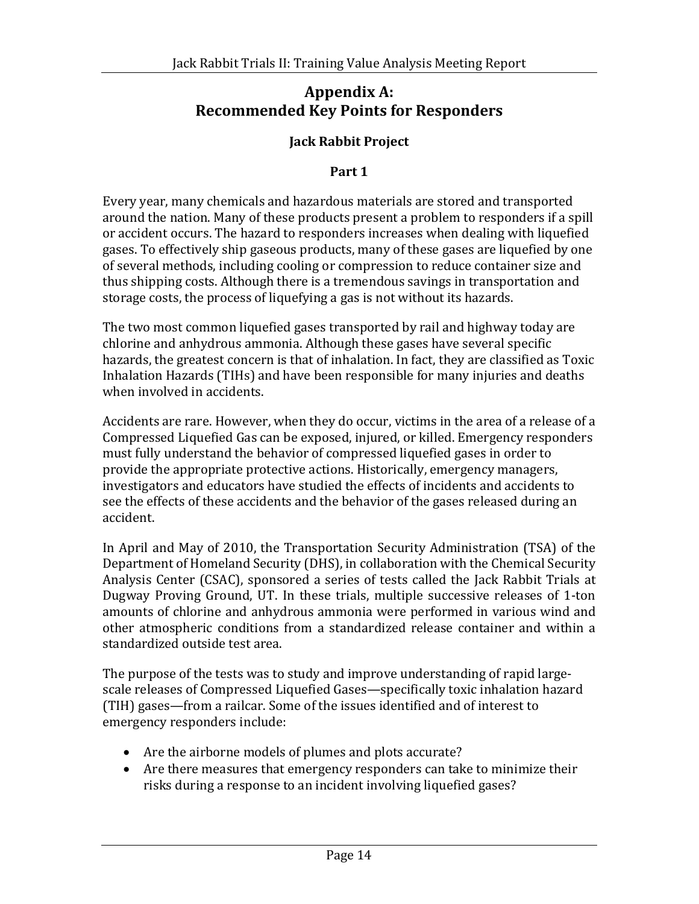# **Appendix A: Recommended Key Points for Responders**

#### **Jack Rabbit Project**

#### **Part 1**

Every year, many chemicals and hazardous materials are stored and transported around the nation. Many of these products present a problem to responders if a spill or accident occurs. The hazard to responders increases when dealing with liquefied gases. To effectively ship gaseous products, many of these gases are liquefied by one of several methods, including cooling or compression to reduce container size and thus shipping costs. Although there is a tremendous savings in transportation and storage costs, the process of liquefying a gas is not without its hazards.

The two most common liquefied gases transported by rail and highway today are chlorine and anhydrous ammonia. Although these gases have several specific hazards, the greatest concern is that of inhalation. In fact, they are classified as Toxic Inhalation Hazards (TIHs) and have been responsible for many injuries and deaths when involved in accidents.

Accidents are rare. However, when they do occur, victims in the area of a release of a Compressed Liquefied Gas can be exposed, injured, or killed. Emergency responders must fully understand the behavior of compressed liquefied gases in order to provide the appropriate protective actions. Historically, emergency managers, investigators and educators have studied the effects of incidents and accidents to see the effects of these accidents and the behavior of the gases released during an accident.

In April and May of 2010, the Transportation Security Administration (TSA) of the Department of Homeland Security (DHS), in collaboration with the Chemical Security Analysis Center (CSAC), sponsored a series of tests called the Jack Rabbit Trials at Dugway Proving Ground, UT. In these trials, multiple successive releases of 1-ton amounts of chlorine and anhydrous ammonia were performed in various wind and other atmospheric conditions from a standardized release container and within a standardized outside test area.

The purpose of the tests was to study and improve understanding of rapid largescale releases of Compressed Liquefied Gases—specifically toxic inhalation hazard (TIH) gases—from a railcar. Some of the issues identified and of interest to emergency responders include:

- Are the airborne models of plumes and plots accurate?
- Are there measures that emergency responders can take to minimize their risks during a response to an incident involving liquefied gases?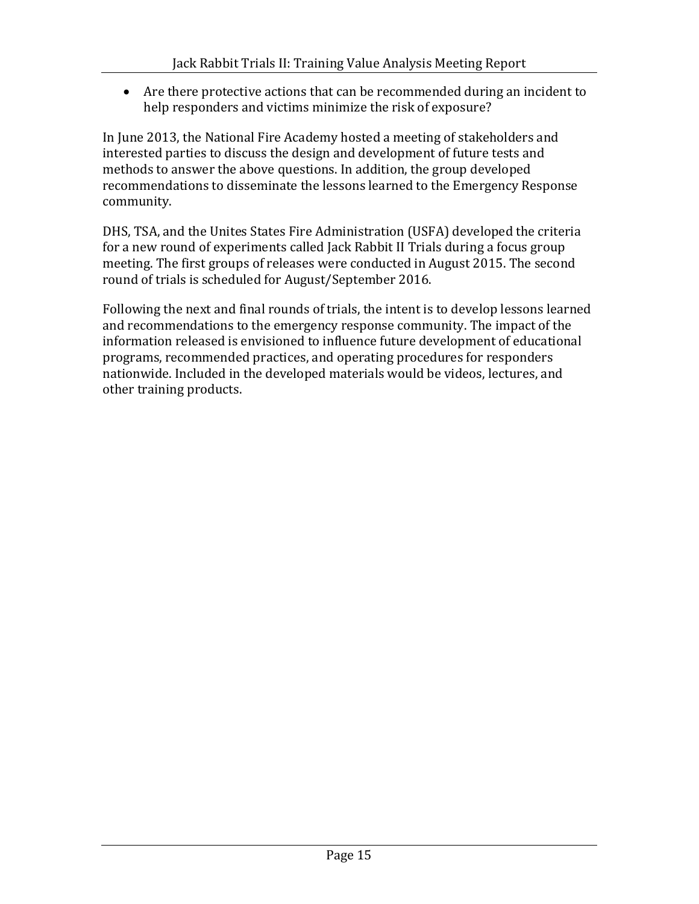• Are there protective actions that can be recommended during an incident to help responders and victims minimize the risk of exposure?

In June 2013, the National Fire Academy hosted a meeting of stakeholders and interested parties to discuss the design and development of future tests and methods to answer the above questions. In addition, the group developed recommendations to disseminate the lessons learned to the Emergency Response community.

DHS, TSA, and the Unites States Fire Administration (USFA) developed the criteria for a new round of experiments called Jack Rabbit II Trials during a focus group meeting. The first groups of releases were conducted in August 2015. The second round of trials is scheduled for August/September 2016.

Following the next and final rounds of trials, the intent is to develop lessons learned and recommendations to the emergency response community. The impact of the information released is envisioned to influence future development of educational programs, recommended practices, and operating procedures for responders nationwide. Included in the developed materials would be videos, lectures, and other training products.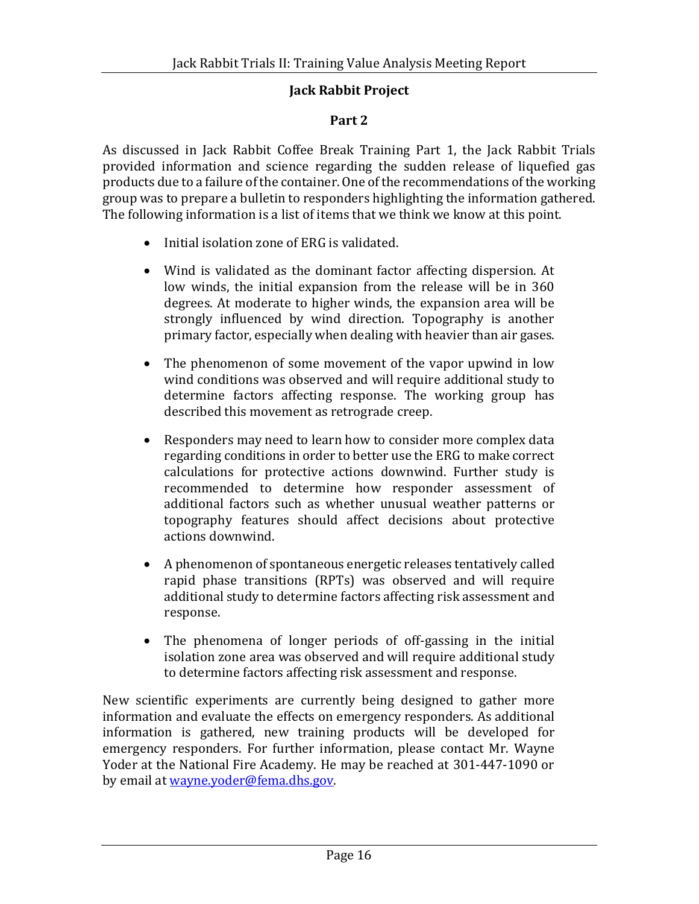### **Jack Rabbit Project**

#### **Part 2**

As discussed in Jack Rabbit Coffee Break Training Part 1, the Jack Rabbit Trials provided information and science regarding the sudden release of liquefied gas products due to a failure of the container. One of the recommendations of the working group was to prepare a bulletin to responders highlighting the information gathered. The following information is a list of items that we think we know at this point.

- Initial isolation zone of ERG is validated.
- Wind is validated as the dominant factor affecting dispersion. At low winds, the initial expansion from the release will be in 360 degrees. At moderate to higher winds, the expansion area will be strongly influenced by wind direction. Topography is another primary factor, especially when dealing with heavier than air gases.
- The phenomenon of some movement of the vapor upwind in low wind conditions was observed and will require additional study to determine factors affecting response. The working group has described this movement as retrograde creep.
- Responders may need to learn how to consider more complex data regarding conditions in order to better use the ERG to make correct calculations for protective actions downwind. Further study is recommended to determine how responder assessment of additional factors such as whether unusual weather patterns or topography features should affect decisions about protective actions downwind.
- A phenomenon of spontaneous energetic releases tentatively called rapid phase transitions (RPTs) was observed and will require additional study to determine factors affecting risk assessment and response.
- The phenomena of longer periods of off-gassing in the initial isolation zone area was observed and will require additional study to determine factors affecting risk assessment and response.

New scientific experiments are currently being designed to gather more information and evaluate the effects on emergency responders. As additional information is gathered, new training products will be developed for emergency responders. For further information, please contact Mr. Wayne Yoder at the National Fire Academy. He may be reached at 301-447-1090 or by email at [wayne.yoder@fema.dhs.gov.](mailto:wayne.yoder@fema.dhs.gov)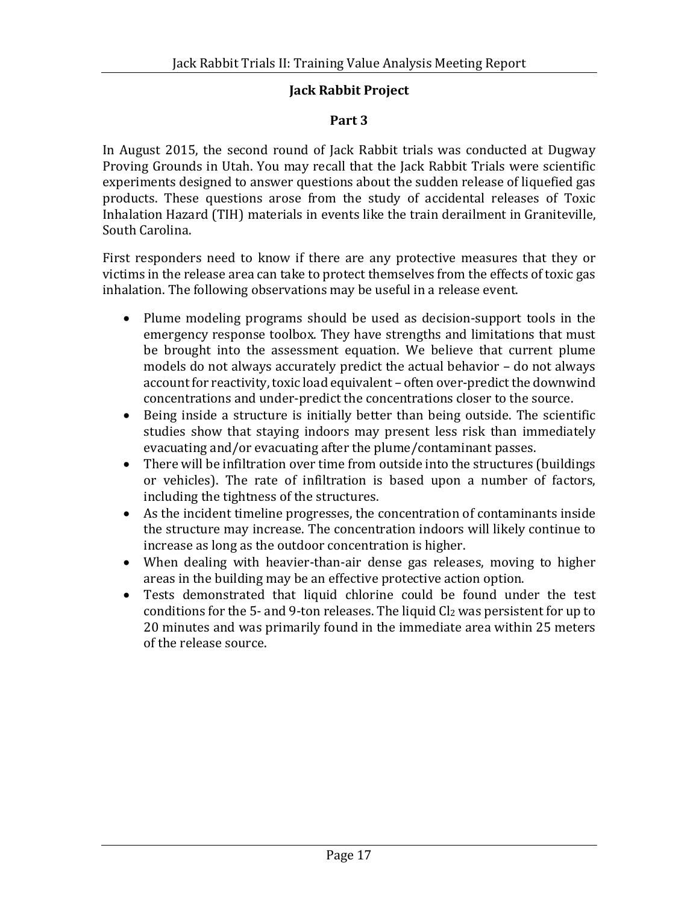### **Jack Rabbit Project**

#### **Part 3**

In August 2015, the second round of Jack Rabbit trials was conducted at Dugway Proving Grounds in Utah. You may recall that the Jack Rabbit Trials were scientific experiments designed to answer questions about the sudden release of liquefied gas products. These questions arose from the study of accidental releases of Toxic Inhalation Hazard (TIH) materials in events like the train derailment in Graniteville, South Carolina.

First responders need to know if there are any protective measures that they or victims in the release area can take to protect themselves from the effects of toxic gas inhalation. The following observations may be useful in a release event.

- Plume modeling programs should be used as decision-support tools in the emergency response toolbox. They have strengths and limitations that must be brought into the assessment equation. We believe that current plume models do not always accurately predict the actual behavior – do not always account for reactivity, toxic load equivalent – often over-predict the downwind concentrations and under-predict the concentrations closer to the source.
- Being inside a structure is initially better than being outside. The scientific studies show that staying indoors may present less risk than immediately evacuating and/or evacuating after the plume/contaminant passes.
- There will be infiltration over time from outside into the structures (buildings or vehicles). The rate of infiltration is based upon a number of factors, including the tightness of the structures.
- As the incident timeline progresses, the concentration of contaminants inside the structure may increase. The concentration indoors will likely continue to increase as long as the outdoor concentration is higher.
- When dealing with heavier-than-air dense gas releases, moving to higher areas in the building may be an effective protective action option.
- Tests demonstrated that liquid chlorine could be found under the test conditions for the 5- and 9-ton releases. The liquid  $Cl<sub>2</sub>$  was persistent for up to 20 minutes and was primarily found in the immediate area within 25 meters of the release source.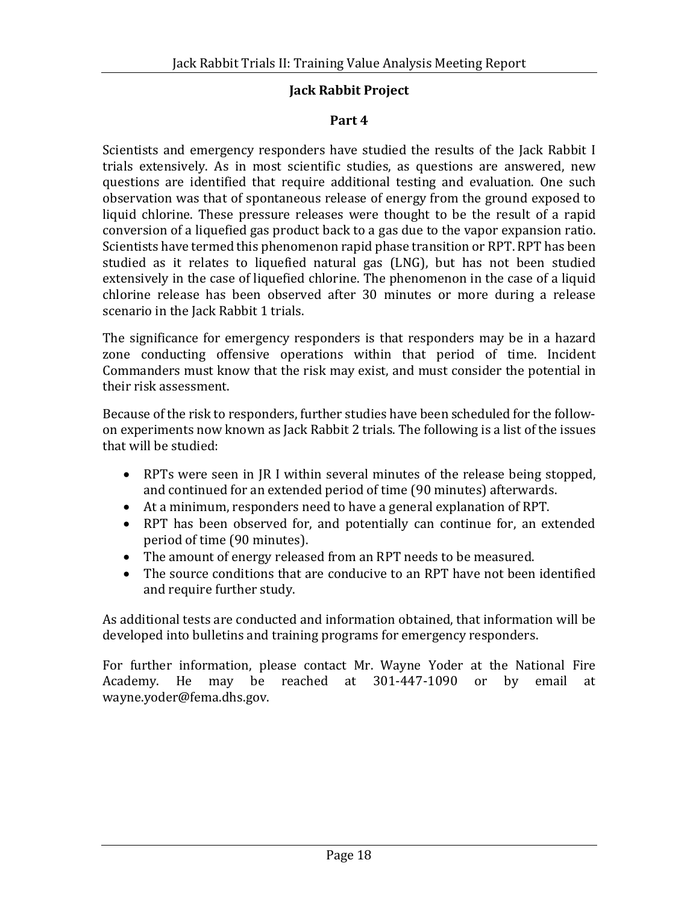### **Jack Rabbit Project**

#### **Part 4**

Scientists and emergency responders have studied the results of the Jack Rabbit I trials extensively. As in most scientific studies, as questions are answered, new questions are identified that require additional testing and evaluation. One such observation was that of spontaneous release of energy from the ground exposed to liquid chlorine. These pressure releases were thought to be the result of a rapid conversion of a liquefied gas product back to a gas due to the vapor expansion ratio. Scientists have termed this phenomenon rapid phase transition or RPT. RPT has been studied as it relates to liquefied natural gas (LNG), but has not been studied extensively in the case of liquefied chlorine. The phenomenon in the case of a liquid chlorine release has been observed after 30 minutes or more during a release scenario in the Jack Rabbit 1 trials.

The significance for emergency responders is that responders may be in a hazard zone conducting offensive operations within that period of time. Incident Commanders must know that the risk may exist, and must consider the potential in their risk assessment.

Because of the risk to responders, further studies have been scheduled for the followon experiments now known as Jack Rabbit 2 trials. The following is a list of the issues that will be studied:

- RPTs were seen in JR I within several minutes of the release being stopped, and continued for an extended period of time (90 minutes) afterwards.
- At a minimum, responders need to have a general explanation of RPT.
- RPT has been observed for, and potentially can continue for, an extended period of time (90 minutes).
- The amount of energy released from an RPT needs to be measured.
- The source conditions that are conducive to an RPT have not been identified and require further study.

As additional tests are conducted and information obtained, that information will be developed into bulletins and training programs for emergency responders.

For further information, please contact Mr. Wayne Yoder at the National Fire<br>Academy. He may be reached at 301-447-1090 or by email at be reached at 301-447-1090 wayne.yoder@fema.dhs.gov.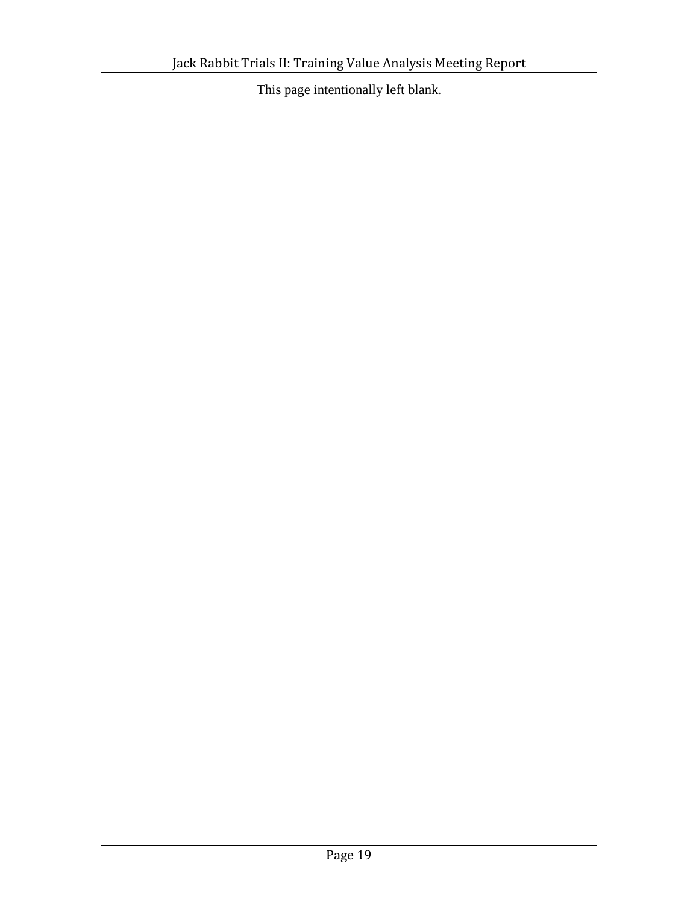This page intentionally left blank.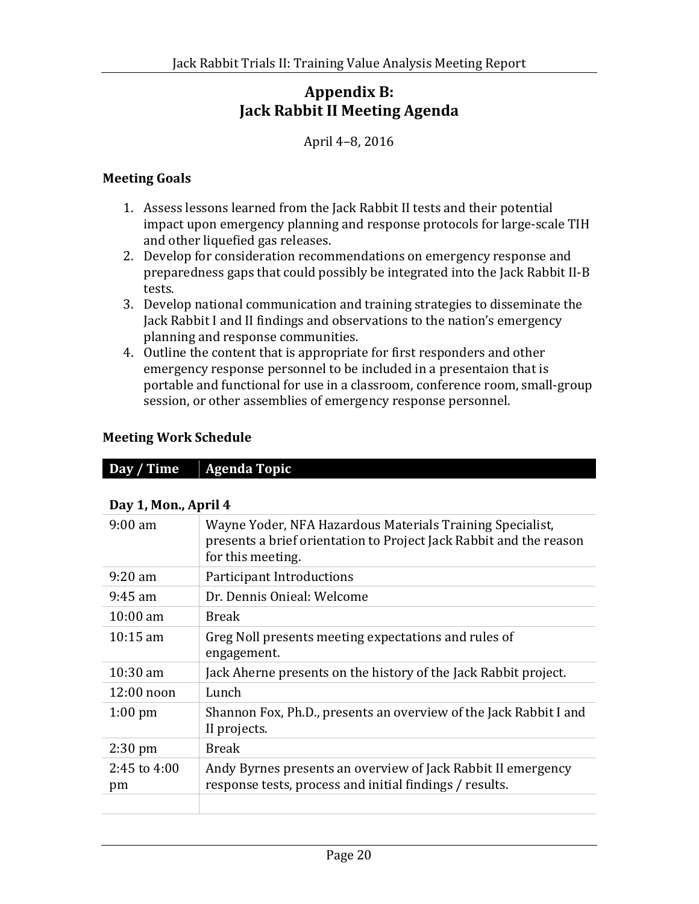# **Appendix B: Jack Rabbit II Meeting Agenda**

April 4–8, 2016

#### **Meeting Goals**

- 1. Assess lessons learned from the Jack Rabbit II tests and their potential impact upon emergency planning and response protocols for large-scale TIH and other liquefied gas releases.
- 2. Develop for consideration recommendations on emergency response and preparedness gaps that could possibly be integrated into the Jack Rabbit II-B tests.
- 3. Develop national communication and training strategies to disseminate the Jack Rabbit I and II findings and observations to the nation's emergency planning and response communities.
- 4. Outline the content that is appropriate for first responders and other emergency response personnel to be included in a presentaion that is portable and functional for use in a classroom, conference room, small-group session, or other assemblies of emergency response personnel.

#### **Meeting Work Schedule**

| Day / Time | Agenda Topic |
|------------|--------------|
|            |              |

| Day 1, MOIL, API II 4 |                                                                                                                                                      |
|-----------------------|------------------------------------------------------------------------------------------------------------------------------------------------------|
| $9:00$ am             | Wayne Yoder, NFA Hazardous Materials Training Specialist,<br>presents a brief orientation to Project Jack Rabbit and the reason<br>for this meeting. |
| $9:20 \text{ am}$     | Participant Introductions                                                                                                                            |
| $9:45 \text{ am}$     | Dr. Dennis Onieal: Welcome                                                                                                                           |
| $10:00 \text{ am}$    | <b>Break</b>                                                                                                                                         |
| $10:15 \text{ am}$    | Greg Noll presents meeting expectations and rules of<br>engagement.                                                                                  |
| $10:30$ am            | Jack Aherne presents on the history of the Jack Rabbit project.                                                                                      |
| $12:00$ noon          | Lunch                                                                                                                                                |
| $1:00 \text{ pm}$     | Shannon Fox, Ph.D., presents an overview of the Jack Rabbit I and<br>II projects.                                                                    |
| $2:30 \text{ pm}$     | <b>Break</b>                                                                                                                                         |
| 2:45 to 4:00<br>pm    | Andy Byrnes presents an overview of Jack Rabbit II emergency<br>response tests, process and initial findings / results.                              |
|                       |                                                                                                                                                      |

### **Day 1, Mon., April 4**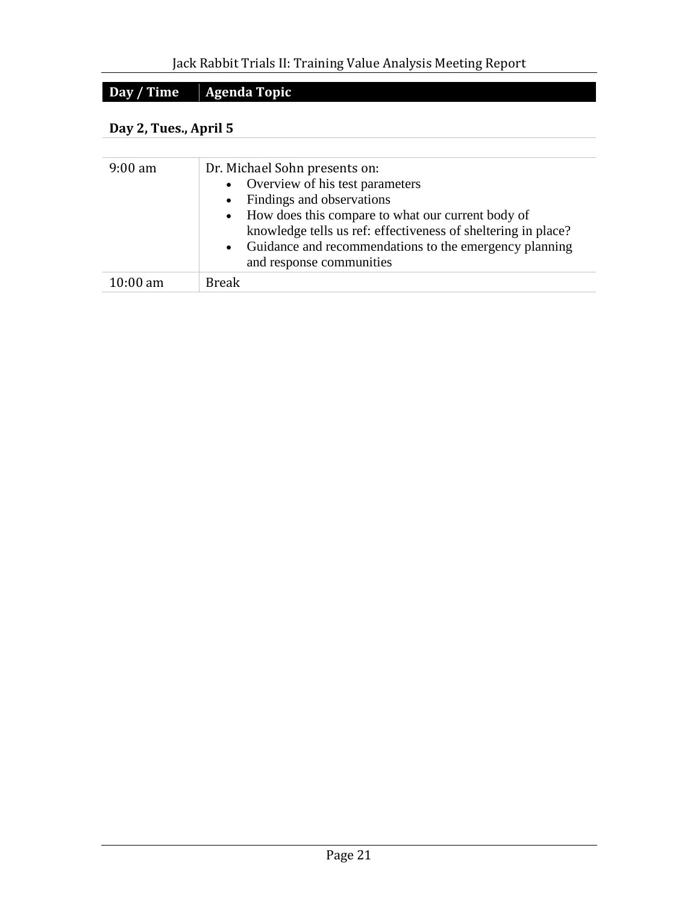# **Day / Time** | **Agenda Topic**

# **Day 2, Tues., April 5**

| $9:00$ am          | Dr. Michael Sohn presents on:<br>• Overview of his test parameters<br>• Findings and observations<br>• How does this compare to what our current body of<br>knowledge tells us ref: effectiveness of sheltering in place?<br>• Guidance and recommendations to the emergency planning<br>and response communities |
|--------------------|-------------------------------------------------------------------------------------------------------------------------------------------------------------------------------------------------------------------------------------------------------------------------------------------------------------------|
| $10:00 \text{ am}$ | <b>Break</b>                                                                                                                                                                                                                                                                                                      |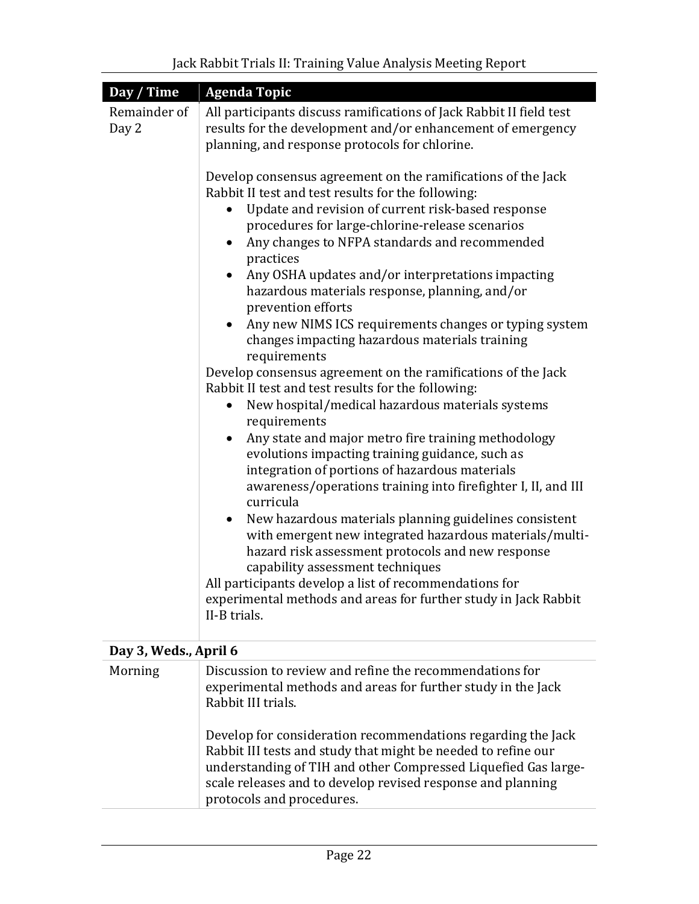| Day / Time<br>Remainder of<br>Day 2 | <b>Agenda Topic</b><br>All participants discuss ramifications of Jack Rabbit II field test<br>results for the development and/or enhancement of emergency<br>planning, and response protocols for chlorine.<br>Develop consensus agreement on the ramifications of the Jack<br>Rabbit II test and test results for the following:<br>Update and revision of current risk-based response<br>procedures for large-chlorine-release scenarios |
|-------------------------------------|--------------------------------------------------------------------------------------------------------------------------------------------------------------------------------------------------------------------------------------------------------------------------------------------------------------------------------------------------------------------------------------------------------------------------------------------|
|                                     | Any changes to NFPA standards and recommended<br>practices<br>Any OSHA updates and/or interpretations impacting<br>hazardous materials response, planning, and/or<br>prevention efforts<br>Any new NIMS ICS requirements changes or typing system<br>changes impacting hazardous materials training<br>requirements                                                                                                                        |
|                                     | Develop consensus agreement on the ramifications of the Jack                                                                                                                                                                                                                                                                                                                                                                               |
|                                     | Rabbit II test and test results for the following:<br>New hospital/medical hazardous materials systems<br>requirements                                                                                                                                                                                                                                                                                                                     |
|                                     | Any state and major metro fire training methodology<br>$\bullet$<br>evolutions impacting training guidance, such as<br>integration of portions of hazardous materials<br>awareness/operations training into firefighter I, II, and III<br>curricula<br>New hazardous materials planning guidelines consistent<br>$\bullet$<br>with emergent new integrated hazardous materials/multi-<br>hazard risk assessment protocols and new response |
|                                     | capability assessment techniques                                                                                                                                                                                                                                                                                                                                                                                                           |
|                                     | All participants develop a list of recommendations for                                                                                                                                                                                                                                                                                                                                                                                     |
|                                     | experimental methods and areas for further study in Jack Rabbit<br>II-B trials.                                                                                                                                                                                                                                                                                                                                                            |
| Day 3, Weds., April 6               |                                                                                                                                                                                                                                                                                                                                                                                                                                            |

| Morning | Discussion to review and refine the recommendations for<br>experimental methods and areas for further study in the Jack<br>Rabbit III trials.                                                                                                                                               |
|---------|---------------------------------------------------------------------------------------------------------------------------------------------------------------------------------------------------------------------------------------------------------------------------------------------|
|         | Develop for consideration recommendations regarding the Jack<br>Rabbit III tests and study that might be needed to refine our<br>understanding of TIH and other Compressed Liquefied Gas large-<br>scale releases and to develop revised response and planning<br>protocols and procedures. |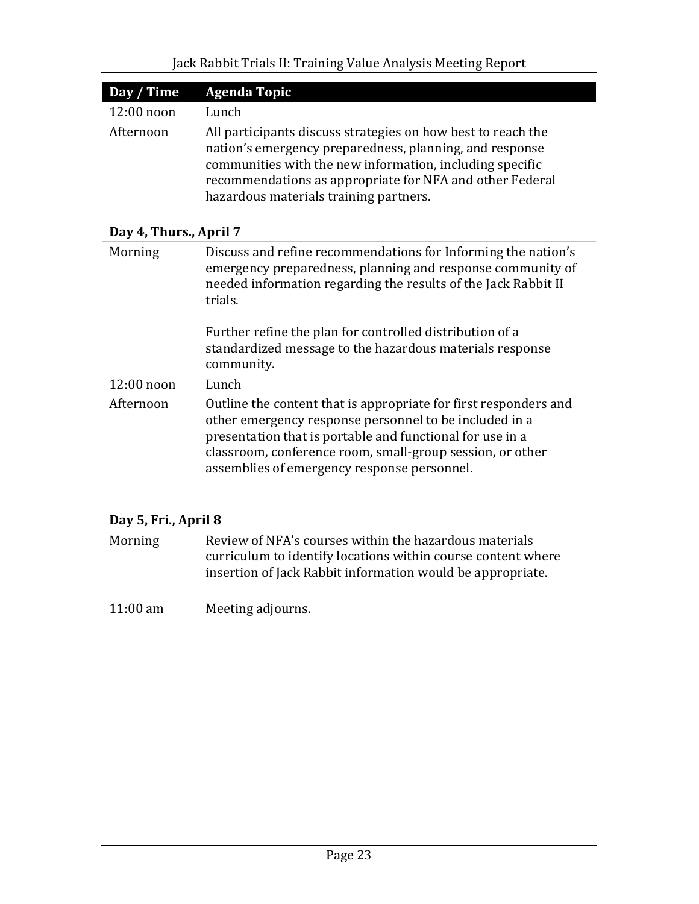| Day / Time   | <b>Agenda Topic</b>                                                                                                                                                                                                                                                                       |
|--------------|-------------------------------------------------------------------------------------------------------------------------------------------------------------------------------------------------------------------------------------------------------------------------------------------|
| $12:00$ noon | Lunch                                                                                                                                                                                                                                                                                     |
| Afternoon    | All participants discuss strategies on how best to reach the<br>nation's emergency preparedness, planning, and response<br>communities with the new information, including specific<br>recommendations as appropriate for NFA and other Federal<br>hazardous materials training partners. |

### **Day 4, Thurs., April 7**

| Morning    | Discuss and refine recommendations for Informing the nation's<br>emergency preparedness, planning and response community of<br>needed information regarding the results of the Jack Rabbit II<br>trials.<br>Further refine the plan for controlled distribution of a<br>standardized message to the hazardous materials response<br>community. |
|------------|------------------------------------------------------------------------------------------------------------------------------------------------------------------------------------------------------------------------------------------------------------------------------------------------------------------------------------------------|
| 12:00 noon | Lunch                                                                                                                                                                                                                                                                                                                                          |
| Afternoon  | Outline the content that is appropriate for first responders and<br>other emergency response personnel to be included in a<br>presentation that is portable and functional for use in a<br>classroom, conference room, small-group session, or other<br>assemblies of emergency response personnel.                                            |

### **Day 5, Fri., April 8**

| Morning            | Review of NFA's courses within the hazardous materials<br>curriculum to identify locations within course content where<br>insertion of Jack Rabbit information would be appropriate. |
|--------------------|--------------------------------------------------------------------------------------------------------------------------------------------------------------------------------------|
| $11:00 \text{ am}$ | Meeting adjourns.                                                                                                                                                                    |
|                    |                                                                                                                                                                                      |